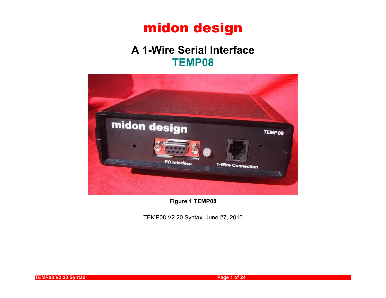## **A 1-Wire Serial Interface TEMP08**



**Figure 1 TEMP08**

TEMP08 V2.20 Syntax June 27, 2010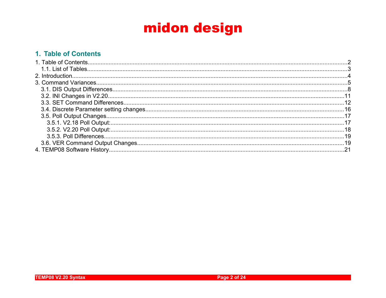### 1. Table of Contents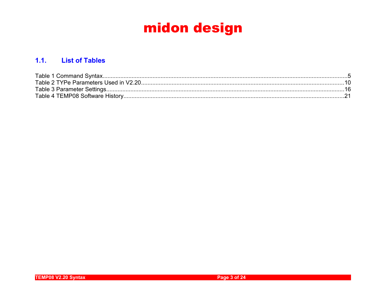### 1.1. List of Tables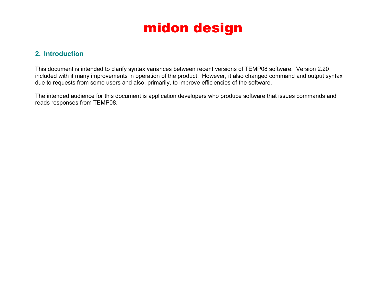### **2. Introduction**

This document is intended to clarify syntax variances between recent versions of TEMP08 software. Version 2.20 included with it many improvements in operation of the product. However, it also changed command and output syntax due to requests from some users and also, primarily, to improve efficiencies of the software.

The intended audience for this document is application developers who produce software that issues commands and reads responses from TEMP08.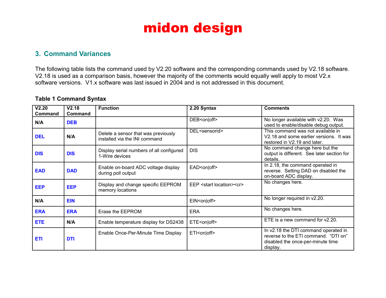### **3. Command Variances**

The following table lists the command used by V2.20 software and the corresponding commands used by V2.18 software. V2.18 is used as a comparison basis, however the majority of the comments would equally well apply to most V2.x software versions. V1.x software was last issued in 2004 and is not addressed in this document.

### **Table 1 Command Syntax**

| V2.20<br>Command | V2.18<br>Command | <b>Function</b>                                                      | 2.20 Syntax                              | <b>Comments</b>                                                                                                               |
|------------------|------------------|----------------------------------------------------------------------|------------------------------------------|-------------------------------------------------------------------------------------------------------------------------------|
| N/A              | <b>DEB</b>       |                                                                      | DEB <on off></on off>                    | No longer available with v2.20. Was<br>used to enable/disable debug output.                                                   |
| <b>DEL</b>       | N/A              | Delete a sensor that was previously<br>installed via the INI command | DEL <sensorid></sensorid>                | This command was not available in<br>V2.18 and some earlier versions. It was<br>restored in V2.19 and later.                  |
| <b>DIS</b>       | <b>DIS</b>       | Display serial numbers of all configured<br>1-Wire devices           | <b>DIS</b>                               | No command change here but the<br>output is different. See later section for<br>details.                                      |
| <b>EAD</b>       | <b>DAD</b>       | Enable on-board ADC voltage display<br>during poll output            | EAD <on off></on off>                    | In 2.18, the command operated in<br>reverse. Setting DAD on disabled the<br>on-board ADC display.                             |
| <b>EEP</b>       | <b>EEP</b>       | Display and change specific EEPROM<br>memory locations               | EEP <start location=""><cr></cr></start> | No changes here.                                                                                                              |
| N/A              | <b>EIN</b>       |                                                                      | EIN <on off></on off>                    | No longer required in v2.20.                                                                                                  |
| <b>ERA</b>       | <b>ERA</b>       | Erase the EEPROM                                                     | <b>ERA</b>                               | No changes here.                                                                                                              |
| <b>ETE</b>       | N/A              | Enable temperature display for DS2438                                | ETE <on off></on off>                    | ETE is a new command for $\sqrt{2.20}$ .                                                                                      |
| <b>ETI</b>       | <b>DTI</b>       | Enable Once-Per-Minute Time Display                                  | ETI <on off></on off>                    | In v2.18 the DTI command operated in<br>reverse to the ETI command. "DTI on"<br>disabled the once-per-minute time<br>display. |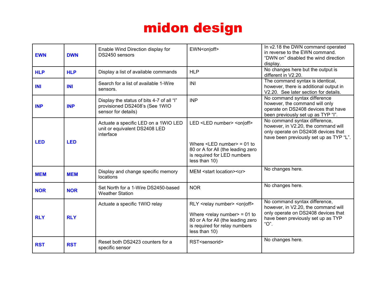| <b>EWN</b> | <b>DWN</b> | Enable Wind Direction display for<br>DS2450 sensors                                                | EWN <on off></on off>                                                                                                                                                                                       | In v2.18 the DWN command operated<br>in reverse to the EWN command.<br>"DWN on" disabled the wind direction<br>display.                                   |
|------------|------------|----------------------------------------------------------------------------------------------------|-------------------------------------------------------------------------------------------------------------------------------------------------------------------------------------------------------------|-----------------------------------------------------------------------------------------------------------------------------------------------------------|
| <b>HLP</b> | <b>HLP</b> | Display a list of available commands                                                               | <b>HLP</b>                                                                                                                                                                                                  | No changes here but the output is<br>different in V2.20.                                                                                                  |
| <b>INI</b> | <b>INI</b> | Search for a list of available 1-Wire<br>sensors.                                                  | INI                                                                                                                                                                                                         | The command syntax is identical,<br>however, there is additional output in<br>V2.20. See later section for details.                                       |
| <b>INP</b> | <b>INP</b> | Display the status of bits 4-7 of all "I"<br>provisioned DS2408's (See 1WIO<br>sensor for details) | <b>INP</b>                                                                                                                                                                                                  | No command syntax difference<br>however, the command will only<br>operate on DS2408 devices that have<br>been previously set up as TYP "I".               |
| <b>LED</b> | <b>LED</b> | Actuate a specific LED on a 1WIO LED<br>unit or equivalent DS2408 LED<br>interface                 | LED <led number=""> <on off><br/>Where <math>\le</math>LED number<math>&gt;</math> = 01 to<br/>80 or A for All (the leading zero<br/>is required for LED numbers</on off></led>                             | No command syntax difference,<br>however, in V2.20, the command will<br>only operate on DS2408 devices that<br>have been previously set up as TYP "L".    |
| <b>MEM</b> | <b>MEM</b> | Display and change specific memory<br>locations                                                    | less than 10)<br>MEM <start location=""><cr></cr></start>                                                                                                                                                   | No changes here.                                                                                                                                          |
| <b>NOR</b> | <b>NOR</b> | Set North for a 1-Wire DS2450-based<br><b>Weather Station</b>                                      | <b>NOR</b>                                                                                                                                                                                                  | No changes here.                                                                                                                                          |
| <b>RLY</b> | <b>RLY</b> | Actuate a specific 1WIO relay                                                                      | RLY <relay number=""> <on off><br/>Where <math>\leq</math>relay number <math>&gt;</math> = 01 to<br/>80 or A for All (the leading zero<br/>is required for relay numbers<br/>less than 10)</on off></relay> | No command syntax difference,<br>however, in V2.20, the command will<br>only operate on DS2408 devices that<br>have been previously set up as TYP<br>"O". |
| <b>RST</b> | <b>RST</b> | Reset both DS2423 counters for a<br>specific sensor                                                | RST <sensorid></sensorid>                                                                                                                                                                                   | No changes here.                                                                                                                                          |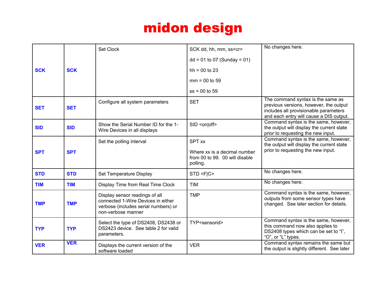|            |            | Set Clock                                                                                                                          | SCK dd, hh, mm, ss <cr></cr>                                               | No changes here.                                                                                                                                                |
|------------|------------|------------------------------------------------------------------------------------------------------------------------------------|----------------------------------------------------------------------------|-----------------------------------------------------------------------------------------------------------------------------------------------------------------|
|            |            |                                                                                                                                    | $dd = 01$ to 07 (Sunday = 01)                                              |                                                                                                                                                                 |
| <b>SCK</b> | <b>SCK</b> |                                                                                                                                    | $hh = 00 to 23$                                                            |                                                                                                                                                                 |
|            |            |                                                                                                                                    | $mm = 00 to 59$                                                            |                                                                                                                                                                 |
|            |            |                                                                                                                                    | $ss = 00$ to 59                                                            |                                                                                                                                                                 |
| <b>SET</b> | <b>SET</b> | Configure all system parameters                                                                                                    | <b>SET</b>                                                                 | The command syntax is the same as<br>previous versions, however, the output<br>includes all provisionable parameters<br>and each entry will cause a DIS output. |
| <b>SID</b> | <b>SID</b> | Show the Serial Number ID for the 1-<br>Wire Devices in all displays                                                               | SID <on off></on off>                                                      | Command syntax is the same, however,<br>the output will display the current state<br>prior to requesting the new input.                                         |
|            |            | Set the polling interval                                                                                                           | <b>SPT xx</b>                                                              | Command syntax is the same, however,<br>the output will display the current state                                                                               |
| <b>SPT</b> | <b>SPT</b> |                                                                                                                                    | Where xx is a decimal number<br>from 00 to 99. 00 will disable<br>polling. | prior to requesting the new input.                                                                                                                              |
| <b>STD</b> | <b>STD</b> | Set Temperature Display                                                                                                            | STD <fic></fic>                                                            | No changes here.                                                                                                                                                |
| <b>TIM</b> | <b>TIM</b> | Display Time from Real Time Clock                                                                                                  | <b>TIM</b>                                                                 | No changes here.                                                                                                                                                |
| <b>TMP</b> | <b>TMP</b> | Display sensor readings of all<br>connected 1-Wire Devices in either<br>verbose (includes serial numbers) or<br>non-verbose manner | <b>TMP</b>                                                                 | Command syntax is the same, however,<br>outputs from some sensor types have<br>changed. See later section for details.                                          |
| <b>TYP</b> | <b>TYP</b> | Select the type of DS2408, DS2438 or<br>DS2423 device. See table 2 for valid<br>parameters.                                        | TYP <sensorid></sensorid>                                                  | Command syntax is the same, however,<br>this command now also applies to<br>DS2408 types which can be set to "I",<br>"O", or "L" types.                         |
| <b>VER</b> | <b>VER</b> | Displays the current version of the<br>software loaded                                                                             | <b>VER</b>                                                                 | Command syntax remains the same but<br>the output is slightly different. See later                                                                              |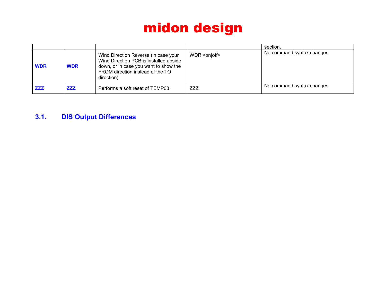|            |            |                                                                                                                                                                           |                 | section.                   |
|------------|------------|---------------------------------------------------------------------------------------------------------------------------------------------------------------------------|-----------------|----------------------------|
| <b>WDR</b> | <b>WDR</b> | Wind Direction Reverse (in case your<br>Wind Direction PCB is installed upside<br>down, or in case you want to show the<br>FROM direction instead of the TO<br>direction) | $WDR <$ on off> | No command syntax changes. |
| <b>ZZZ</b> | <b>ZZZ</b> | Performs a soft reset of TEMP08                                                                                                                                           | ZZZ             | No command syntax changes. |

### **3.1. DIS Output Differences**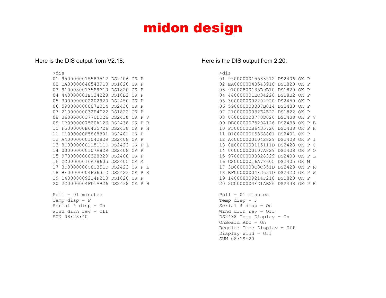#### Here is the DIS output from V2.18:

Wind dirn rev = Off

 $SUN 08.28.40$ 

#### >dis 01 9500000015583512 DS2406 OK P 02 EA00000040543910 DS1820 OK P 03 91000800135B9B10 DS1820 OK P 04 440000001EC34228 DS18B2 OK P 05 3000000002202920 DS2450 OK P 06 590000000007B014 DS2430 OK P 07 21000000032E4E22 DS1822 OK P 08 060000003770D026 DS2438 OK P V 09 DB0000007520A126 DS2438 OK P B 10 F5000000B6435726 DS2438 OK P H 11 D1000000F5868801 DS2401 OK P 12 A400000001042829 DS2408 OK P 13 8E0000000115111D DS2423 OK P L 14 000000000107A829 DS2408 OK P 15 9700000000328329 DS2408 OK P 16 C200000016A78605 DS2405 OK M 17 3D0000000C8C351D DS2423 OK P L 18 BF00000004F3631D DS2423 OK P R 19 140008009214F210 DS1820 OK P 20 2C0000004FD1AB26 DS2438 OK P H  $Pol1 = 01$  minutes Temp disp  $=$   $F$ Serial # disp = On

#### Here is the DIS output from 2.20:

#### >dis

| 01 | 9500000015583512 | DS2406 | OK | P |    |
|----|------------------|--------|----|---|----|
| 02 | EA00000040543910 | DS1820 | ΟK | Ρ |    |
| 03 | 91000800135B9B10 | DS1820 | OΚ | Ρ |    |
| 04 | 440000001EC34228 | DS18B2 | ΟK | P |    |
| 05 | 3000000002202920 | DS2450 | ΟK | Ρ |    |
| 06 | 590000000007B014 | DS2430 | OΚ | Ρ |    |
| 07 | 21000000032E4E22 | DS1822 | ΟK | Ρ |    |
| 08 | 060000003770D026 | DS2438 | OΚ | Ρ | V  |
| 09 | DB0000007520A126 | DS2438 | ΟK | Ρ | R  |
| 10 | F5000000B6435726 | DS2438 | ΩK | Ρ | Н  |
| 11 | D1000000F5868801 | DS2401 | OΚ | Ρ |    |
| 12 | A400000001042829 | DS2408 | ΟK | Ρ | т  |
| 13 | 8E0000000115111D | DS2423 | OΚ | Ρ | C  |
| 14 | 000000000107A829 | DS2408 | ΟK | Ρ | ∩  |
| 15 | 9700000000328329 | DS2408 | ΩK | P | Т. |
| 16 | C200000016A78605 | DS2405 | OΚ | M |    |
| 17 | 3D0000000C8C351D | DS2423 | ΟK | P | R  |
| 18 | BF00000004F3631D | DS2423 | ΟK | Ρ | W  |
| 19 | 140008009214F210 | DS1820 | OΚ | Ρ |    |
| 20 | 2C0000004FD1AB26 | DS2438 | ΩK | Ρ | Н  |
|    |                  |        |    |   |    |

```
Pol1 = 01 minutes
Temp disp = FSerial # disp = On
Wind dirn rev = Off
DS2438 Temp Display = On
OnBoard ADC = On
Regular Time Display = Off
Display Wind = Off
SUN 08:19:20
```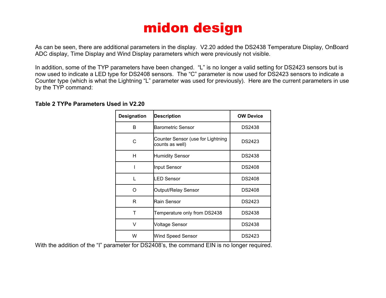As can be seen, there are additional parameters in the display. V2.20 added the DS2438 Temperature Display, OnBoard ADC display, Time Display and Wind Display parameters which were previously not visible.

In addition, some of the TYP parameters have been changed. "L" is no longer a valid setting for DS2423 sensors but is now used to indicate a LED type for DS2408 sensors. The "C" parameter is now used for DS2423 sensors to indicate a Counter type (which is what the Lightning "L" parameter was used for previously). Here are the current parameters in use by the TYP command:

### **Table 2 TYPe Parameters Used in V2.20**

| <b>Designation</b> | <b>Description</b>                                   | <b>OW Device</b> |
|--------------------|------------------------------------------------------|------------------|
| B                  | <b>Barometric Sensor</b>                             | <b>DS2438</b>    |
| C                  | Counter Sensor (use for Lightning<br>counts as well) | DS2423           |
| н                  | <b>Humidity Sensor</b>                               | <b>DS2438</b>    |
|                    | <b>Input Sensor</b>                                  | <b>DS2408</b>    |
|                    | LED Sensor                                           | <b>DS2408</b>    |
| ∩                  | Output/Relay Sensor                                  | <b>DS2408</b>    |
| R                  | Rain Sensor                                          | DS2423           |
| т                  | Temperature only from DS2438                         | <b>DS2438</b>    |
| v                  | Voltage Sensor                                       | <b>DS2438</b>    |
| W                  | Wind Speed Sensor                                    | DS2423           |

With the addition of the "I" parameter for DS2408's, the command EIN is no longer required.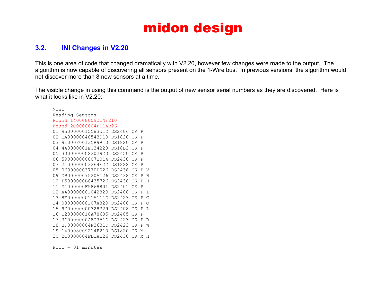### **3.2. INI Changes in V2.20**

This is one area of code that changed dramatically with V2.20, however few changes were made to the output. The algorithm is now capable of discovering all sensors present on the 1-Wire bus. In previous versions, the algorithm would not discover more than 8 new sensors at a time.

The visible change in using this command is the output of new sensor serial numbers as they are discovered. Here is what it looks like in V2.20:

>ini Reading Sensors... Found 140008009214F210 Found 2C0000004FD1AB26 01 9500000015583512 DS2406 OK P 02 EA00000040543910 DS1820 OK P 03 91000800135B9B10 DS1820 OK P 04 440000001EC34228 DS18B2 OK P 05 3000000002202920 DS2450 OK P 06 590000000007B014 DS2430 OK P 07 21000000032E4E22 DS1822 OK P 08 060000003770D026 DS2438 OK P V 09 DB0000007520A126 DS2438 OK P B 10 F5000000B6435726 DS2438 OK P H 11 D1000000F5868801 DS2401 OK P 12 A400000001042829 DS2408 OK P I 13 8E0000000115111D DS2423 OK P C 14 000000000107A829 DS2408 OK P O 15 9700000000328329 DS2408 OK P L 16 C200000016A78605 DS2405 OK P 17 3D0000000C8C351D DS2423 OK P R 18 BF00000004F3631D DS2423 OK P W 19 140008009214F210 DS1820 OK M 20 2C0000004FD1AB26 DS2438 OK M H

 $Pol1 = 01$  minutes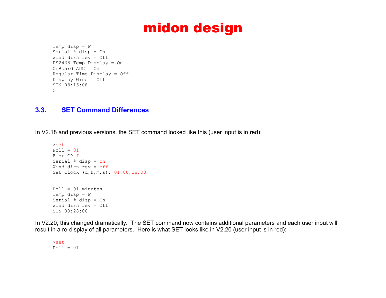```
Temp disp = FSerial # disp = On
Wind dirn rev = Off
DS2438 Temp Display = On
OnBoard ADC = On
Regular Time Display = Off
Display Wind = Off
SUN 08:16:08
\geq
```
### **3.3. SET Command Differences**

In V2.18 and previous versions, the SET command looked like this (user input is in red):

```
>set
Pol1 = 01F or C? f
Serial # disp = on
Wind dirn rev = off
Set Clock (d,h,m,s): 01,08,28,00
Pol1 = 01 minutes
Temp disp = FSerial # disp = On
Wind dirn rev = Off
SUN 08:28:00
```
In V2.20, this changed dramatically. The SET command now contains additional parameters and each user input will result in a re-display of all parameters. Here is what SET looks like in V2.20 (user input is in red):

>set  $Pol1 = 01$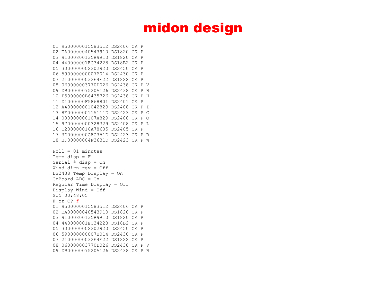```
01 9500000015583512 DS2406 OK P
02 EA00000040543910 DS1820 OK P
03 91000800135B9B10 DS1820 OK P
04 440000001EC34228 DS18B2 OK P
05 3000000002202920 DS2450 OK P
06 590000000007B014 DS2430 OK P
07 21000000032E4E22 DS1822 OK P
08 060000003770D026 DS2438 OK P V
09 DB0000007520A126 DS2438 OK P B
10 F5000000B6435726 DS2438 OK P H
11 D1000000F5868801 DS2401 OK P
12 A400000001042829 DS2408 OK P I
13 8E0000000115111D DS2423 OK P C
14 000000000107A829 DS2408 OK P O
15 9700000000328329 DS2408 OK P L
16 C200000016A78605 DS2405 OK P
17 3D0000000C8C351D DS2423 OK P R
18 BF00000004F3631D DS2423 OK P W
Pol1 = 01 minutes
Temp disp = F
Serial # disp = On
Wind dirn rev = Off
DS2438 Temp Display = On
OnBoard ADC = On
Regular Time Display = Off
Display Wind = Off
SUN 00:48:05
F or C? f
01 9500000015583512 DS2406 OK P
02 EA00000040543910 DS1820 OK P
03 91000800135B9B10 DS1820 OK P
04 440000001EC34228 DS18B2 OK P
05 3000000002202920 DS2450 OK P
06 590000000007B014 DS2430 OK P
07 21000000032E4E22 DS1822 OK P
08 060000003770D026 DS2438 OK P V
09 DB0000007520A126 DS2438 OK P B
```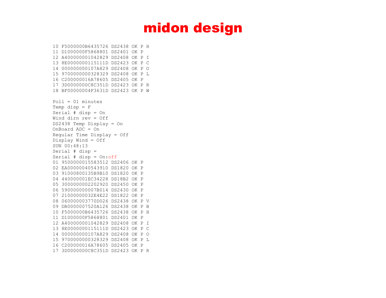```
10 F5000000B6435726 DS2438 OK P H
11 D1000000F5868801 DS2401 OK P
12 A400000001042829 DS2408 OK P I
13 8E0000000115111D DS2423 OK P C
14 000000000107A829 DS2408 OK P O
15 9700000000328329 DS2408 OK P L
16 C200000016A78605 DS2405 OK P
17 3D0000000C8C351D DS2423 OK P R
18 BF00000004F3631D DS2423 OK P W
Pol1 = 01 minutes
Temp disp = FSerial # disp = On
Wind dirn rev = Off
DS2438 Temp Display = On
OnBoard ADC = On
Regular Time Display = Off
Display Wind = Off
SUN 00:48:13
Serial # disp = 
Serial # disp = On:off
01 9500000015583512 DS2406 OK P
02 EA00000040543910 DS1820 OK P
03 91000800135B9B10 DS1820 OK P
04 440000001EC34228 DS18B2 OK P
05 3000000002202920 DS2450 OK P
06 590000000007B014 DS2430 OK P
07 21000000032E4E22 DS1822 OK P
08 060000003770D026 DS2438 OK P V
09 DB0000007520A126 DS2438 OK P B
10 F5000000B6435726 DS2438 OK P H
11 D1000000F5868801 DS2401 OK P
12 A400000001042829 DS2408 OK P I
13 8E0000000115111D DS2423 OK P C
14 000000000107A829 DS2408 OK P O
15 9700000000328329 DS2408 OK P L
16 C200000016A78605 DS2405 OK P
17 3D0000000C8C351D DS2423 OK P R
```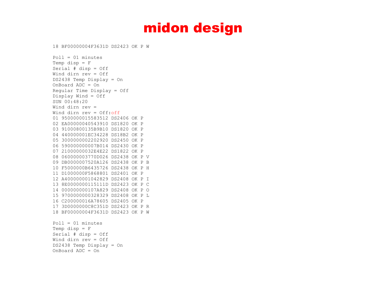18 BF00000004F3631D DS2423 OK P W

 $Pol1 = 01$  minutes Temp disp  $=$   $F$ Serial # disp = Off Wind dirn rev = Off DS2438 Temp Display = On OnBoard ADC = On Regular Time Display = Off Display Wind = Off SUN 00:48:20 Wind dirn rev = Wind dirn rev = Off:off 01 9500000015583512 DS2406 OK P 02 EA00000040543910 DS1820 OK P 03 91000800135B9B10 DS1820 OK P 04 440000001EC34228 DS18B2 OK P 05 3000000002202920 DS2450 OK P 06 590000000007B014 DS2430 OK P 07 21000000032E4E22 DS1822 OK P 08 060000003770D026 DS2438 OK P V 09 DB0000007520A126 DS2438 OK P B 10 F5000000B6435726 DS2438 OK P H 11 D1000000F5868801 DS2401 OK P 12 A400000001042829 DS2408 OK P I 13 8E0000000115111D DS2423 OK P C 14 000000000107A829 DS2408 OK P O 15 9700000000328329 DS2408 OK P L 16 C200000016A78605 DS2405 OK P 17 3D0000000C8C351D DS2423 OK P R 18 BF00000004F3631D DS2423 OK P W  $Pol1 = 01$  minutes Temp disp  $=$   $F$ Serial # disp = Off

Wind dirn rev = Off

DS2438 Temp Display = On OnBoard ADC = On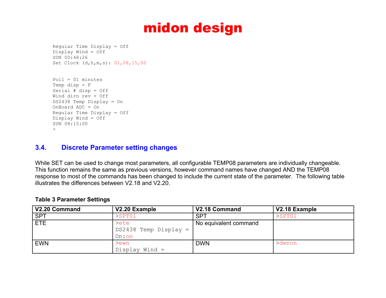```
Regular Time Display = Off
Display Wind = Off
SUN 00:48:26
Set Clock (d,h,m,s): 01,08,15,00
```

```
Pol1 = 01 minutes
Temp disp = FSerial # disp = Off
Wind dirn rev = Off
DS2438 Temp Display = On
OnBoard ADC = On
Regular Time Display = Off
Display Wind = Off
SUN 08:15:00
\geq
```
### **3.4. Discrete Parameter setting changes**

While SET can be used to change most parameters, all configurable TEMP08 parameters are individually changeable. This function remains the same as previous versions, however command names have changed AND the TEMP08 response to most of the commands has been changed to include the current state of the parameter. The following table illustrates the differences between V2.18 and V2.20.

### **Table 3 Parameter Settings**

| V2.20 Command | V2.20 Example           | V2.18 Command         | V2.18 Example |
|---------------|-------------------------|-----------------------|---------------|
| <b>SPT</b>    | $>$ SPT $01$            | <b>SPT</b>            | $>$ SPT01     |
| <b>ETE</b>    | $\geq$ ete              | No equivalent command |               |
|               | $DS2438$ Temp Display = |                       |               |
|               | On:on                   |                       |               |
| <b>EWN</b>    | $>$ ewn                 | <b>DWN</b>            | >dwnon        |
|               | Display Wind $=$        |                       |               |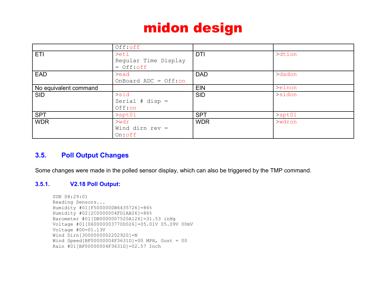|                       | Off:off                |            |              |
|-----------------------|------------------------|------------|--------------|
| ETI                   | $>$ eti                | <b>DTI</b> | >dtion       |
|                       | Regular Time Display   |            |              |
|                       | $=$ Off: $off$         |            |              |
| <b>EAD</b>            | $>$ ead                | <b>DAD</b> | >dadon       |
|                       | OnBoard ADC = $Off:on$ |            |              |
| No equivalent command |                        | <b>EIN</b> | >einon       |
| <b>SID</b>            | $>$ sid                | <b>SID</b> | $>$ sidon    |
|                       | Serial $# disp =$      |            |              |
|                       | Off:on                 |            |              |
| <b>SPT</b>            | $>$ spt $01$           | <b>SPT</b> | $>$ spt $01$ |
| <b>WDR</b>            | $>$ wdr                | <b>WDR</b> | $>$ wdron    |
|                       | Wind dirn rev $=$      |            |              |
|                       | $On:$ off              |            |              |

### **3.5. Poll Output Changes**

Some changes were made in the polled sensor display, which can also be triggered by the TMP command.

### **3.5.1. V2.18 Poll Output:**

```
SUN 08:29:01
Reading Sensors...
Humidity #01[F5000000B6435726]=86%
Humidity #02[2C0000004FD1AB26]=86%
Barometer #01[DB0000007520A126]=31.53 inHg
Voltage #01[060000003770D026]=05.01V 05.09V 00mV
Voltage #00=01.13V
Wind Dirn[3000000002202920]=N 
Wind Speed[BF00000004F3631D]=00 MPH, Gust = 00
Rain #01[BF00000004F3631D]=02.57 Inch
```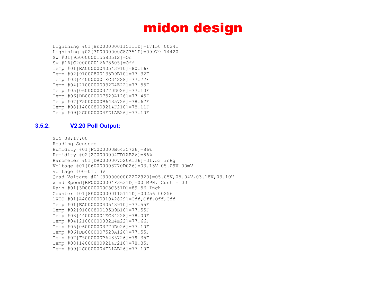Lightning #01[8E0000000115111D]=17150 00241 Lightning #02[3D0000000C8C351D]=09979 14420 Sw #01[9500000015583512]=On Sw #16[C200000016A78605]=Off Temp #01[EA00000040543910]=80.16F Temp #02[91000800135B9B10]=77.32F Temp #03[440000001EC34228]=77.77F Temp #04[21000000032E4E22]=77.55F Temp #05[060000003770D026]=77.10F Temp #06[DB0000007520A126]=77.45F Temp #07[F5000000B6435726]=78.67F Temp #08[140008009214F210]=78.11F Temp #09[2C0000004FD1AB26]=77.10F

### **3.5.2. V2.20 Poll Output:**

```
SUN 08:17:00
Reading Sensors...
Humidity #01[F5000000B6435726]=86%
Humidity #02[2C0000004FD1AB26]=86%
Barometer #01[DB0000007520A126]=31.53 inHg
Voltage #01[060000003770D026]=03.13V 05.09V 00mV
Voltage #00=01.13V
Quad Voltage #01[3000000002202920]=05.05V,05.04V,03.18V,03.10V
Wind Speed[BF00000004F3631D]=00 MPH, Gust = 00
Rain #01[3D0000000C8C351D]=89.56 Inch
Counter #01[8E0000000115111D]=00256 00256
1WIO #01[A400000001042829]=Off,Off,Off,Off
Temp #01[EA00000040543910]=77.55F
Temp #02[91000800135B9B10]=77.55F
Temp #03[440000001EC34228]=78.00F
Temp #04[21000000032E4E22]=77.66F
Temp #05[060000003770D026]=77.10F
Temp #06[DB0000007520A126]=77.55F
Temp #07[F5000000B6435726]=79.35F
Temp #08[140008009214F210]=78.35F
Temp #09[2C0000004FD1AB26]=77.10F
```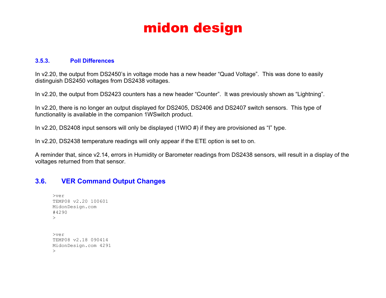### **3.5.3. Poll Differences**

In v2.20, the output from DS2450's in voltage mode has a new header "Quad Voltage". This was done to easily distinguish DS2450 voltages from DS2438 voltages.

In v2.20, the output from DS2423 counters has a new header "Counter". It was previously shown as "Lightning".

In v2.20, there is no longer an output displayed for DS2405, DS2406 and DS2407 switch sensors. This type of functionality is available in the companion 1WSwitch product.

In v2.20, DS2408 input sensors will only be displayed (1WIO #) if they are provisioned as "I" type.

In v2.20, DS2438 temperature readings will only appear if the ETE option is set to on.

A reminder that, since v2.14, errors in Humidity or Barometer readings from DS2438 sensors, will result in a display of the voltages returned from that sensor.

### **3.6. VER Command Output Changes**

```
>ver
TEMP08 v2.20 100601
MidonDesign.com
#4290
\geq>ver
TEMP08 v2.18 090414
MidonDesign.com 4291
\geq
```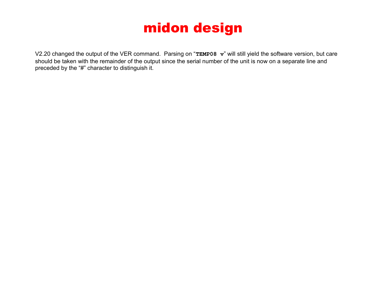V2.20 changed the output of the VER command. Parsing on "**TEMP08 v**" will still yield the software version, but care should be taken with the remainder of the output since the serial number of the unit is now on a separate line and preceded by the "#" character to distinguish it.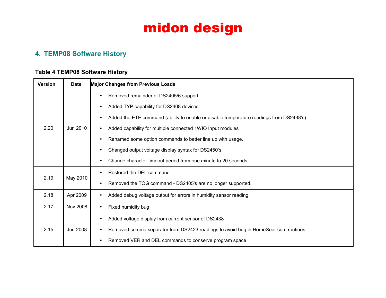### **4. TEMP08 Software History**

### **Table 4 TEMP08 Software History**

| <b>Version</b>   | <b>Date</b>     | <b>Major Changes from Previous Loads</b>                                                |
|------------------|-----------------|-----------------------------------------------------------------------------------------|
|                  |                 | Removed remainder of DS2405/6 support                                                   |
|                  |                 | Added TYP capability for DS2408 devices<br>$\bullet$                                    |
|                  |                 | Added the ETE command (ability to enable or disable temperature readings from DS2438's) |
| 2.20             | Jun 2010        | Added capability for multiple connected 1WIO Input modules                              |
|                  |                 | Renamed some option commands to better line up with usage.                              |
|                  |                 | Changed output voltage display syntax for DS2450's                                      |
|                  |                 | Change character timeout period from one minute to 20 seconds                           |
| May 2010<br>2.19 |                 | Restored the DEL command.                                                               |
|                  |                 | Removed the TOG command - DS2405's are no longer supported.                             |
| 2.18             | Apr 2009        | Added debug voltage output for errors in humidity sensor reading                        |
| 2.17             | <b>Nov 2008</b> | Fixed humidity bug                                                                      |
|                  |                 | Added voltage display from current sensor of DS2438                                     |
| 2.15             | Jun 2008        | Removed comma separator from DS2423 readings to avoid bug in HomeSeer com routines      |
|                  |                 | Removed VER and DEL commands to conserve program space                                  |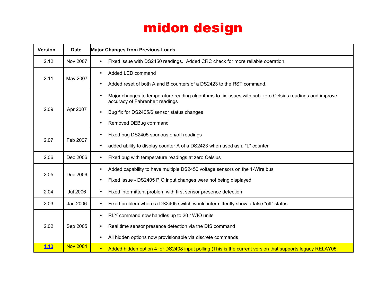| <b>Version</b> | <b>Date</b>     | <b>Major Changes from Previous Loads</b>                                                                                                    |
|----------------|-----------------|---------------------------------------------------------------------------------------------------------------------------------------------|
| 2.12           | Nov 2007        | Fixed issue with DS2450 readings. Added CRC check for more reliable operation.                                                              |
|                | May 2007        | Added LED command                                                                                                                           |
| 2.11           |                 | Added reset of both A and B counters of a DS2423 to the RST command.                                                                        |
|                |                 | Major changes to temperature reading algorithms to fix issues with sub-zero Celsius readings and improve<br>accuracy of Fahrenheit readings |
| 2.09           | Apr 2007        | Bug fix for DS2405/6 sensor status changes                                                                                                  |
|                |                 | Removed DEBug command                                                                                                                       |
| 2.07           | Feb 2007        | Fixed bug DS2405 spurious on/off readings                                                                                                   |
|                |                 | added ability to display counter A of a DS2423 when used as a "L" counter                                                                   |
| 2.06           | Dec 2006        | Fixed bug with temperature readings at zero Celsius                                                                                         |
| 2.05           | Dec 2006        | Added capability to have multiple DS2450 voltage sensors on the 1-Wire bus<br>$\bullet$                                                     |
|                |                 | Fixed issue - DS2405 PIO input changes were not being displayed                                                                             |
| 2.04           | <b>Jul 2006</b> | Fixed intermittent problem with first sensor presence detection                                                                             |
| 2.03           | Jan 2006        | Fixed problem where a DS2405 switch would intermittently show a false "off" status.<br>$\bullet$                                            |
|                |                 | RLY command now handles up to 20 1WIO units                                                                                                 |
| 2.02           | Sep 2005        | Real time sensor presence detection via the DIS command                                                                                     |
|                |                 | All hidden options now provisionable via discrete commands                                                                                  |
| 1.13           | <b>Nov 2004</b> | Added hidden option 4 for DS2408 input polling (This is the current version that supports legacy RELAY05<br>$\bullet$                       |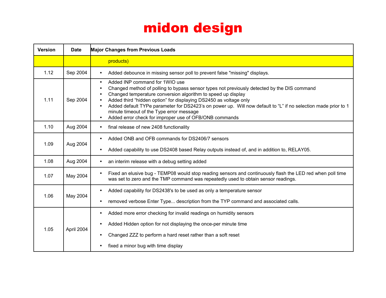| <b>Version</b> | <b>Date</b> | <b>Major Changes from Previous Loads</b>                                                                                                                                                                                                                                                                                                                                                                                                                                                                |
|----------------|-------------|---------------------------------------------------------------------------------------------------------------------------------------------------------------------------------------------------------------------------------------------------------------------------------------------------------------------------------------------------------------------------------------------------------------------------------------------------------------------------------------------------------|
|                |             | products)                                                                                                                                                                                                                                                                                                                                                                                                                                                                                               |
| 1.12           | Sep 2004    | Added debounce in missing sensor poll to prevent false "missing" displays.                                                                                                                                                                                                                                                                                                                                                                                                                              |
| 1.11           | Sep 2004    | Added INP command for 1WIO use<br>$\bullet$<br>Changed method of polling to bypass sensor types not previously detected by the DIS command<br>Changed temperature conversion algorithm to speed up display<br>Added third "hidden option" for displaying DS2450 as voltage only<br>Added default TYPe parameter for DS2423's on power up. Will now default to "L" if no selection made prior to 1<br>minute timeout of the Type error message<br>Added error check for improper use of OFB/ONB commands |
| 1.10           | Aug 2004    | final release of new 2408 functionality<br>$\bullet$                                                                                                                                                                                                                                                                                                                                                                                                                                                    |
| 1.09           | Aug 2004    | Added ONB and OFB commands for DS2406/7 sensors<br>Added capability to use DS2408 based Relay outputs instead of, and in addition to, RELAY05.                                                                                                                                                                                                                                                                                                                                                          |
| 1.08           | Aug 2004    | an interim release with a debug setting added                                                                                                                                                                                                                                                                                                                                                                                                                                                           |
| 1.07           | May 2004    | Fixed an elusive bug - TEMP08 would stop reading sensors and continuously flash the LED red when poll time<br>was set to zero and the TMP command was repeatedly used to obtain sensor readings.                                                                                                                                                                                                                                                                                                        |
| 1.06           | May 2004    | Added capability for DS2438's to be used as only a temperature sensor<br>removed verbose Enter Type description from the TYP command and associated calls.                                                                                                                                                                                                                                                                                                                                              |
| 1.05           | April 2004  | Added more error checking for invalid readings on humidity sensors<br>٠<br>Added Hidden option for not displaying the once-per minute time<br>Changed ZZZ to perform a hard reset rather than a soft reset<br>fixed a minor bug with time display                                                                                                                                                                                                                                                       |